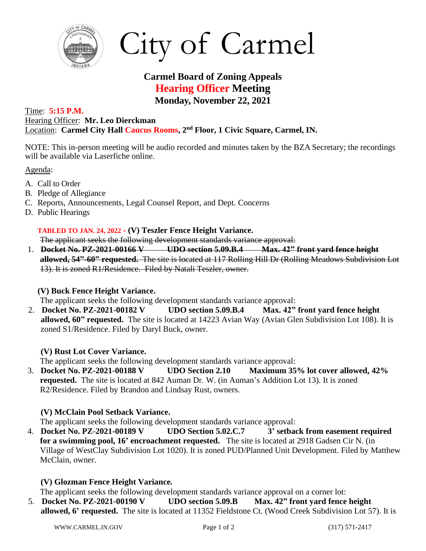

# City of Carmel

# **Carmel Board of Zoning Appeals Hearing Officer Meeting Monday, November 22, 2021**

#### Time: **5:15 P.M.** Hearing Officer: **Mr. Leo Dierckman** Location: **Carmel City Hall Caucus Rooms, 2 nd Floor, 1 Civic Square, Carmel, IN.**

NOTE: This in-person meeting will be audio recorded and minutes taken by the BZA Secretary; the recordings will be available via Laserfiche online.

Agenda:

- A. Call to Order
- B. Pledge of Allegiance
- C. Reports, Announcements, Legal Counsel Report, and Dept. Concerns
- D. Public Hearings

#### **TABLED TO JAN. 24, 2022 - (V) Teszler Fence Height Variance.**

The applicant seeks the following development standards variance approval:

1. **Docket No. PZ-2021-00166 V UDO section 5.09.B.4 Max. 42" front yard fence height allowed, 54"-60" requested.** The site is located at 117 Rolling Hill Dr (Rolling Meadows Subdivision Lot 13). It is zoned R1/Residence. Filed by Natali Teszler, owner.

## **(V) Buck Fence Height Variance.**

The applicant seeks the following development standards variance approval:

2. **Docket No. PZ-2021-00182 V UDO section 5.09.B.4 Max. 42" front yard fence height allowed, 60" requested.** The site is located at 14223 Avian Way (Avian Glen Subdivision Lot 108). It is zoned S1/Residence. Filed by Daryl Buck, owner.

## **(V) Rust Lot Cover Variance.**

The applicant seeks the following development standards variance approval:

3. **Docket No. PZ-2021-00188 V UDO Section 2.10 Maximum 35% lot cover allowed, 42% requested.** The site is located at 842 Auman Dr. W. (in Auman's Addition Lot 13). It is zoned R2/Residence. Filed by Brandon and Lindsay Rust, owners.

## **(V) McClain Pool Setback Variance.**

The applicant seeks the following development standards variance approval:

4. **Docket No. PZ-2021-00189 V UDO Section 5.02.C.7 3' setback from easement required for a swimming pool, 16' encroachment requested.** The site is located at 2918 Gadsen Cir N. (in Village of WestClay Subdivision Lot 1020). It is zoned PUD/Planned Unit Development. Filed by Matthew McClain, owner.

## **(V) Glozman Fence Height Variance***.*

The applicant seeks the following development standards variance approval on a corner lot:

5. **Docket No. PZ-2021-00190 V UDO section 5.09.B Max. 42" front yard fence height allowed, 6' requested.** The site is located at 11352 Fieldstone Ct. (Wood Creek Subdivision Lot 57). It is